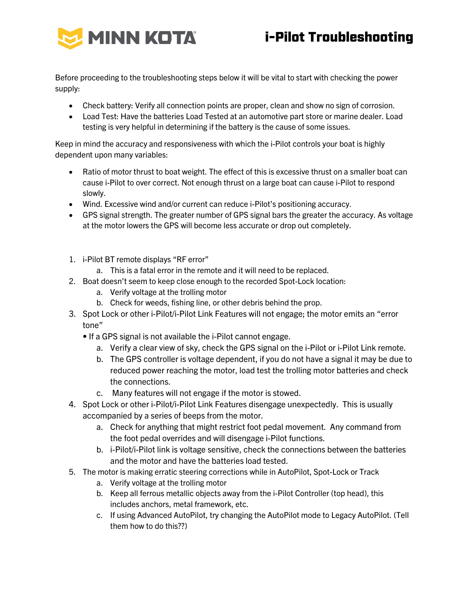

Before proceeding to the troubleshooting steps below it will be vital to start with checking the power supply:

- Check battery: Verify all connection points are proper, clean and show no sign of corrosion.
- Load Test: Have the batteries Load Tested at an automotive part store or marine dealer. Load testing is very helpful in determining if the battery is the cause of some issues.

Keep in mind the accuracy and responsiveness with which the i-Pilot controls your boat is highly dependent upon many variables:

- Ratio of motor thrust to boat weight. The effect of this is excessive thrust on a smaller boat can cause i-Pilot to over correct. Not enough thrust on a large boat can cause i-Pilot to respond slowly.
- Wind. Excessive wind and/or current can reduce i-Pilot's positioning accuracy.
- GPS signal strength. The greater number of GPS signal bars the greater the accuracy. As voltage at the motor lowers the GPS will become less accurate or drop out completely.
- 1. i-Pilot BT remote displays "RF error"
	- a. This is a fatal error in the remote and it will need to be replaced.
- 2. Boat doesn't seem to keep close enough to the recorded Spot-Lock location:
	- a. Verify voltage at the trolling motor
	- b. Check for weeds, fishing line, or other debris behind the prop.
- 3. Spot Lock or other i-Pilot/i-Pilot Link Features will not engage; the motor emits an "error tone"
	- If a GPS signal is not available the i-Pilot cannot engage.
		- a. Verify a clear view of sky, check the GPS signal on the i-Pilot or i-Pilot Link remote.
		- b. The GPS controller is voltage dependent, if you do not have a signal it may be due to reduced power reaching the motor, load test the trolling motor batteries and check the connections.
		- c. Many features will not engage if the motor is stowed.
- 4. Spot Lock or other i-Pilot/i-Pilot Link Features disengage unexpectedly. This is usually accompanied by a series of beeps from the motor.
	- a. Check for anything that might restrict foot pedal movement. Any command from the foot pedal overrides and will disengage i-Pilot functions.
	- b. i-Pilot/i-Pilot link is voltage sensitive, check the connections between the batteries and the motor and have the batteries load tested.
- 5. The motor is making erratic steering corrections while in AutoPilot, Spot-Lock or Track
	- a. Verify voltage at the trolling motor
	- b. Keep all ferrous metallic objects away from the i-Pilot Controller (top head), this includes anchors, metal framework, etc.
	- c. If using Advanced AutoPilot, try changing the AutoPilot mode to Legacy AutoPilot. (Tell them how to do this??)